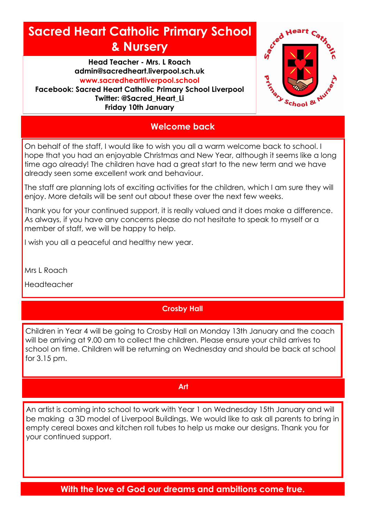# **Sacred Heart Catholic Primary School & Nursery**

**Head Teacher - Mrs. L Roach admin@sacredheart.liverpool.sch.uk www.sacredheartliverpool.school Facebook: Sacred Heart Catholic Primary School Liverpool Twitter: @Sacred\_Heart\_Li Friday 10th January**



## **Welcome back**

On behalf of the staff, I would like to wish you all a warm welcome back to school. I hope that you had an enjoyable Christmas and New Year, although it seems like a long time ago already! The children have had a great start to the new term and we have already seen some excellent work and behaviour.

The staff are planning lots of exciting activities for the children, which I am sure they will enjoy. More details will be sent out about these over the next few weeks.

Thank you for your continued support, it is really valued and it does make a difference. As always, if you have any concerns please do not hesitate to speak to myself or a member of staff, we will be happy to help.

I wish you all a peaceful and healthy new year.

Mrs L Roach

Headteacher

### **Crosby Hall**

Children in Year 4 will be going to Crosby Hall on Monday 13th January and the coach will be arriving at 9.00 am to collect the children. Please ensure your child arrives to school on time. Children will be returning on Wednesday and should be back at school for 3.15 pm.

#### **Art**

An artist is coming into school to work with Year 1 on Wednesday 15th January and will be making a 3D model of Liverpool Buildings. We would like to ask all parents to bring in empty cereal boxes and kitchen roll tubes to help us make our designs. Thank you for your continued support.

**With the love of God our dreams and ambitions come true.**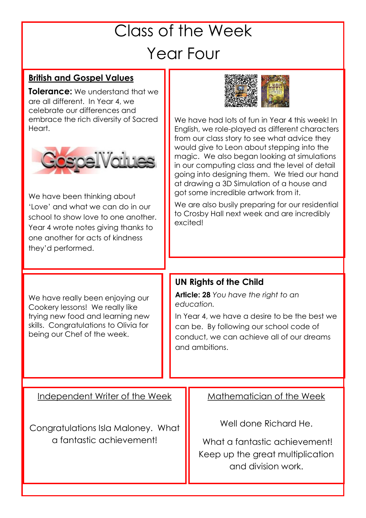# Class of the Week Year Four

# **British and Gospel Values**

**Tolerance:** We understand that we are all different. In Year 4, we celebrate our differences and embrace the rich diversity of Sacred Heart.



We have been thinking about 'Love' and what we can do in our school to show love to one another. Year 4 wrote notes giving thanks to one another for acts of kindness they'd performed.

We have really been enjoying our Cookery lessons! We really like trying new food and learning new skills. Congratulations to Olivia for being our Chef of the week.



We have had lots of fun in Year 4 this week! In English, we role-played as different characters from our class story to see what advice they would give to Leon about stepping into the magic. We also began looking at simulations in our computing class and the level of detail going into designing them. We tried our hand at drawing a 3D Simulation of a house and got some incredible artwork from it.

We are also busily preparing for our residential to Crosby Hall next week and are incredibly excited!

## **UN Rights of the Child**

**Article: 28** *You have the right to an education.*

In Year 4, we have a desire to be the best we can be. By following our school code of conduct, we can achieve all of our dreams and ambitions.

Independent Writer of the Week

Congratulations Isla Maloney. What a fantastic achievement!

Mathematician of the Week

Well done Richard He.

What a fantastic achievement! Keep up the great multiplication and division work.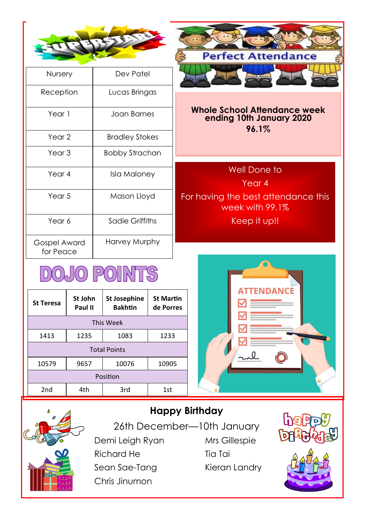

| Nursery                   | Dev Patel             |  |
|---------------------------|-----------------------|--|
| Reception                 | Lucas Bringas         |  |
| Year 1                    | Joan Barnes           |  |
| Year 2                    | <b>Bradley Stokes</b> |  |
| Year <sub>3</sub>         | Bobby Strachan        |  |
| Year 4                    | Isla Maloney          |  |
| Year 5                    | Mason Lloyd           |  |
| Year 6                    | Sadie Griffiths       |  |
| Gospel Award<br>for Peace | Harvey Murphy         |  |

# **DOJO POINTS**

| <b>St Teresa</b>    | St John<br>Paul II | <b>St Josephine</b><br><b>Bakhtin</b> | <b>St Martin</b><br>de Porres |
|---------------------|--------------------|---------------------------------------|-------------------------------|
| This Week           |                    |                                       |                               |
| 1413                | 1235               | 1083                                  | 1233                          |
| <b>Total Points</b> |                    |                                       |                               |
| 10579               | 9657               | 10076                                 | 10905                         |
| Position            |                    |                                       |                               |
| 2nd                 | 4th                | 3rd                                   | 1st                           |



#### **Whole School Attendance week ending 10th January 2020 96.1%**

Well Done to Year 4 For having the best attendance this week with 99.1% Keep it up!!





**Happy Birthday** 

26th December—10th January Demi Leigh Ryan Mrs Gillespie Richard He Tia Tai Sean Sae-Tang Kieran Landry Chris Jinumon